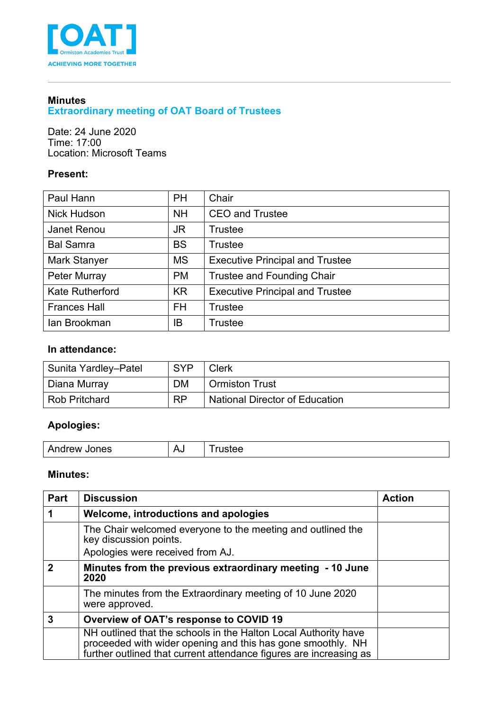

#### **Minutes Extraordinary meeting of OAT Board of Trustees**

Date: 24 June 2020 Time: 17:00 Location: Microsoft Teams

## **Present:**

| Paul Hann              | <b>PH</b> | Chair                                  |
|------------------------|-----------|----------------------------------------|
| <b>Nick Hudson</b>     | <b>NH</b> | <b>CEO and Trustee</b>                 |
| Janet Renou            | JR.       | <b>Trustee</b>                         |
| <b>Bal Samra</b>       | <b>BS</b> | Trustee                                |
| Mark Stanyer           | <b>MS</b> | <b>Executive Principal and Trustee</b> |
| Peter Murray           | <b>PM</b> | <b>Trustee and Founding Chair</b>      |
| <b>Kate Rutherford</b> | <b>KR</b> | <b>Executive Principal and Trustee</b> |
| <b>Frances Hall</b>    | <b>FH</b> | <b>Trustee</b>                         |
| lan Brookman           | IB        | <b>Trustee</b>                         |

## **In attendance:**

| Sunita Yardley-Patel | <b>SYP</b> | <b>Clerk</b>                          |
|----------------------|------------|---------------------------------------|
| Diana Murray         | <b>DM</b>  | l Ormiston Trust                      |
| <b>Rob Pritchard</b> | <b>RP</b>  | <b>National Director of Education</b> |

# **Apologies:**

| Andrew<br>Δ<br>rustee<br><b>Jones</b><br>ે∿<br>__ |
|---------------------------------------------------|
|---------------------------------------------------|

#### **Minutes:**

| Part | <b>Discussion</b>                                                                                                                                                                                    | <b>Action</b> |
|------|------------------------------------------------------------------------------------------------------------------------------------------------------------------------------------------------------|---------------|
|      | Welcome, introductions and apologies                                                                                                                                                                 |               |
|      | The Chair welcomed everyone to the meeting and outlined the<br>key discussion points.                                                                                                                |               |
|      | Apologies were received from AJ.                                                                                                                                                                     |               |
| 2    | Minutes from the previous extraordinary meeting - 10 June<br>2020                                                                                                                                    |               |
|      | The minutes from the Extraordinary meeting of 10 June 2020<br>were approved.                                                                                                                         |               |
| 3    | Overview of OAT's response to COVID 19                                                                                                                                                               |               |
|      | NH outlined that the schools in the Halton Local Authority have<br>proceeded with wider opening and this has gone smoothly. NH<br>further outlined that current attendance figures are increasing as |               |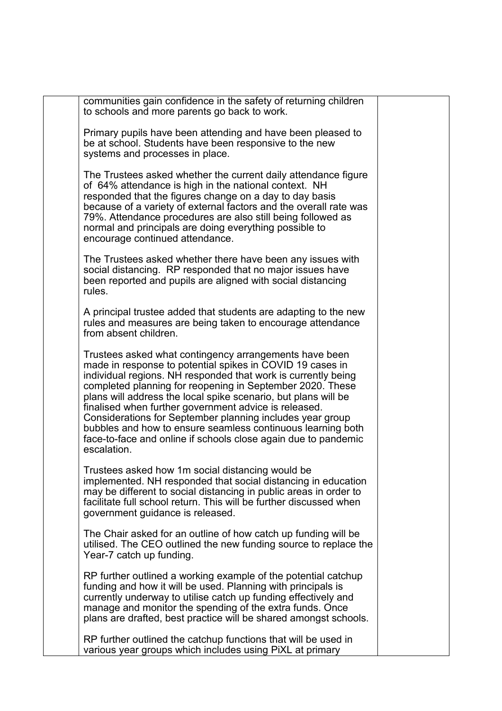communities gain confidence in the safety of returning children to schools and more parents go back to work.

Primary pupils have been attending and have been pleased to be at school. Students have been responsive to the new systems and processes in place.

The Trustees asked whether the current daily attendance figure of 64% attendance is high in the national context. NH responded that the figures change on a day to day basis because of a variety of external factors and the overall rate was 79%. Attendance procedures are also still being followed as normal and principals are doing everything possible to encourage continued attendance.

The Trustees asked whether there have been any issues with social distancing. RP responded that no major issues have been reported and pupils are aligned with social distancing rules.

A principal trustee added that students are adapting to the new rules and measures are being taken to encourage attendance from absent children.

Trustees asked what contingency arrangements have been made in response to potential spikes in COVID 19 cases in individual regions. NH responded that work is currently being completed planning for reopening in September 2020. These plans will address the local spike scenario, but plans will be finalised when further government advice is released. Considerations for September planning includes year group bubbles and how to ensure seamless continuous learning both face-to-face and online if schools close again due to pandemic escalation.

Trustees asked how 1m social distancing would be implemented. NH responded that social distancing in education may be different to social distancing in public areas in order to facilitate full school return. This will be further discussed when government guidance is released.

The Chair asked for an outline of how catch up funding will be utilised. The CEO outlined the new funding source to replace the Year-7 catch up funding.

RP further outlined a working example of the potential catchup funding and how it will be used. Planning with principals is currently underway to utilise catch up funding effectively and manage and monitor the spending of the extra funds. Once plans are drafted, best practice will be shared amongst schools.

RP further outlined the catchup functions that will be used in various year groups which includes using PiXL at primary